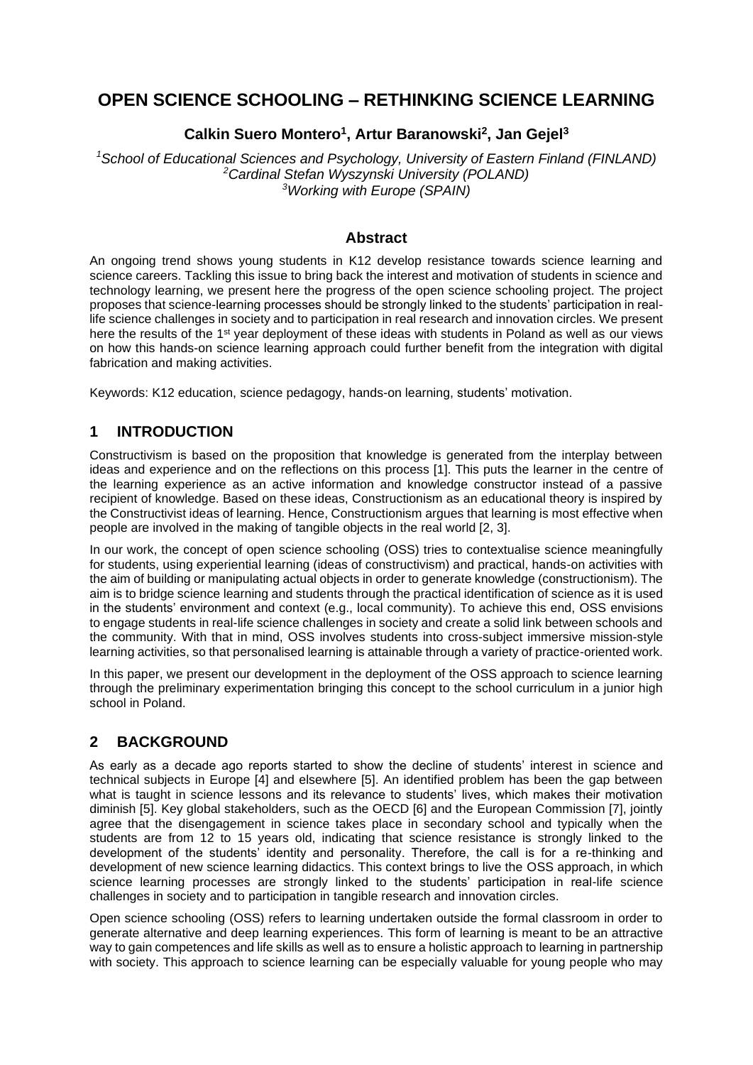# **OPEN SCIENCE SCHOOLING – RETHINKING SCIENCE LEARNING**

### **Calkin Suero Montero<sup>1</sup> , Artur Baranowski<sup>2</sup> , Jan Gejel<sup>3</sup>**

*<sup>1</sup>School of Educational Sciences and Psychology, University of Eastern Finland (FINLAND) <sup>2</sup>Cardinal Stefan Wyszynski University (POLAND) <sup>3</sup>Working with Europe (SPAIN)*

#### **Abstract**

An ongoing trend shows young students in K12 develop resistance towards science learning and science careers. Tackling this issue to bring back the interest and motivation of students in science and technology learning, we present here the progress of the open science schooling project. The project proposes that science-learning processes should be strongly linked to the students' participation in reallife science challenges in society and to participation in real research and innovation circles. We present here the results of the 1<sup>st</sup> year deployment of these ideas with students in Poland as well as our views on how this hands-on science learning approach could further benefit from the integration with digital fabrication and making activities.

Keywords: K12 education, science pedagogy, hands-on learning, students' motivation.

#### **1 INTRODUCTION**

Constructivism is based on the proposition that knowledge is generated from the interplay between ideas and experience and on the reflections on this process [1]. This puts the learner in the centre of the learning experience as an active information and knowledge constructor instead of a passive recipient of knowledge. Based on these ideas, Constructionism as an educational theory is inspired by the Constructivist ideas of learning. Hence, Constructionism argues that learning is most effective when people are involved in the making of tangible objects in the real world [2, 3].

In our work, the concept of open science schooling (OSS) tries to contextualise science meaningfully for students, using experiential learning (ideas of constructivism) and practical, hands-on activities with the aim of building or manipulating actual objects in order to generate knowledge (constructionism). The aim is to bridge science learning and students through the practical identification of science as it is used in the students' environment and context (e.g., local community). To achieve this end, OSS envisions to engage students in real-life science challenges in society and create a solid link between schools and the community. With that in mind, OSS involves students into cross-subject immersive mission-style learning activities, so that personalised learning is attainable through a variety of practice-oriented work.

In this paper, we present our development in the deployment of the OSS approach to science learning through the preliminary experimentation bringing this concept to the school curriculum in a junior high school in Poland.

# **2 BACKGROUND**

As early as a decade ago reports started to show the decline of students' interest in science and technical subjects in Europe [4] and elsewhere [5]. An identified problem has been the gap between what is taught in science lessons and its relevance to students' lives, which makes their motivation diminish [5]. Key global stakeholders, such as the OECD [6] and the European Commission [7], jointly agree that the disengagement in science takes place in secondary school and typically when the students are from 12 to 15 years old, indicating that science resistance is strongly linked to the development of the students' identity and personality. Therefore, the call is for a re-thinking and development of new science learning didactics. This context brings to live the OSS approach, in which science learning processes are strongly linked to the students' participation in real-life science challenges in society and to participation in tangible research and innovation circles.

Open science schooling (OSS) refers to learning undertaken outside the formal classroom in order to generate alternative and deep learning experiences. This form of learning is meant to be an attractive way to gain competences and life skills as well as to ensure a holistic approach to learning in partnership with society. This approach to science learning can be especially valuable for young people who may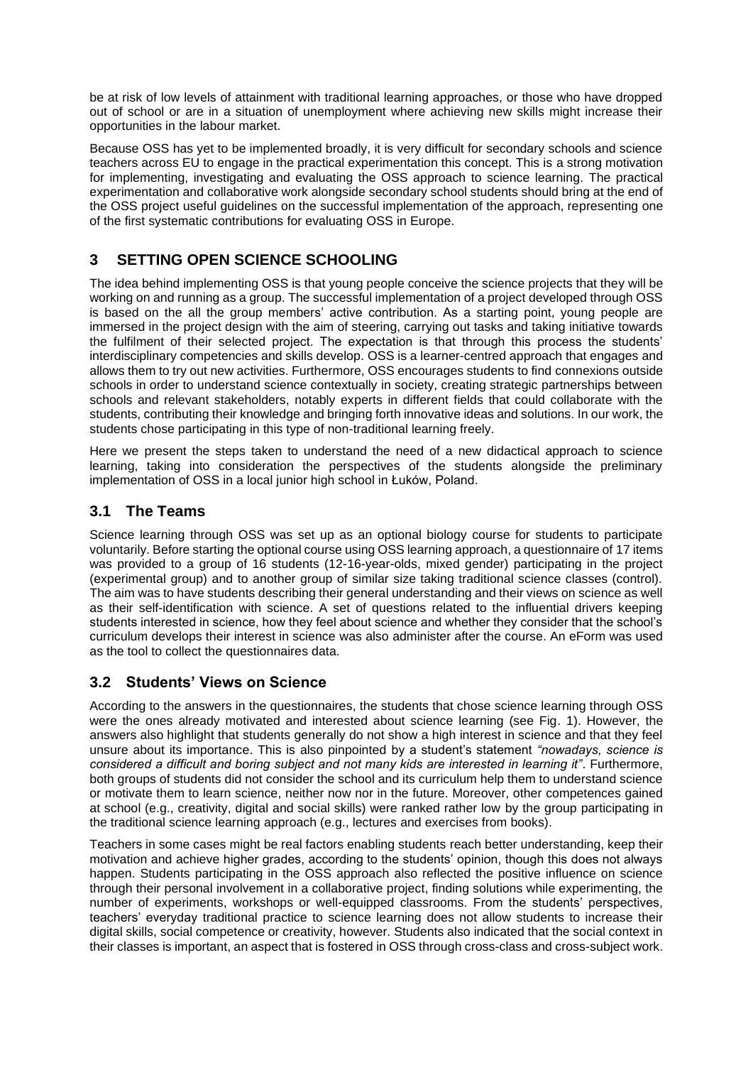be at risk of low levels of attainment with traditional learning approaches, or those who have dropped out of school or are in a situation of unemployment where achieving new skills might increase their opportunities in the labour market.

Because OSS has yet to be implemented broadly, it is very difficult for secondary schools and science teachers across EU to engage in the practical experimentation this concept. This is a strong motivation for implementing, investigating and evaluating the OSS approach to science learning. The practical experimentation and collaborative work alongside secondary school students should bring at the end of the OSS project useful guidelines on the successful implementation of the approach, representing one of the first systematic contributions for evaluating OSS in Europe.

# **3 SETTING OPEN SCIENCE SCHOOLING**

The idea behind implementing OSS is that young people conceive the science projects that they will be working on and running as a group. The successful implementation of a project developed through OSS is based on the all the group members' active contribution. As a starting point, young people are immersed in the project design with the aim of steering, carrying out tasks and taking initiative towards the fulfilment of their selected project. The expectation is that through this process the students' interdisciplinary competencies and skills develop. OSS is a learner-centred approach that engages and allows them to try out new activities. Furthermore, OSS encourages students to find connexions outside schools in order to understand science contextually in society, creating strategic partnerships between schools and relevant stakeholders, notably experts in different fields that could collaborate with the students, contributing their knowledge and bringing forth innovative ideas and solutions. In our work, the students chose participating in this type of non-traditional learning freely.

Here we present the steps taken to understand the need of a new didactical approach to science learning, taking into consideration the perspectives of the students alongside the preliminary implementation of OSS in a local junior high school in Łuków, Poland.

### **3.1 The Teams**

Science learning through OSS was set up as an optional biology course for students to participate voluntarily. Before starting the optional course using OSS learning approach, a questionnaire of 17 items was provided to a group of 16 students (12-16-year-olds, mixed gender) participating in the project (experimental group) and to another group of similar size taking traditional science classes (control). The aim was to have students describing their general understanding and their views on science as well as their self-identification with science. A set of questions related to the influential drivers keeping students interested in science, how they feel about science and whether they consider that the school's curriculum develops their interest in science was also administer after the course. An eForm was used as the tool to collect the questionnaires data.

### **3.2 Students' Views on Science**

According to the answers in the questionnaires, the students that chose science learning through OSS were the ones already motivated and interested about science learning (see Fig. 1). However, the answers also highlight that students generally do not show a high interest in science and that they feel unsure about its importance. This is also pinpointed by a student's statement *"nowadays, science is considered a difficult and boring subject and not many kids are interested in learning it"*. Furthermore, both groups of students did not consider the school and its curriculum help them to understand science or motivate them to learn science, neither now nor in the future. Moreover, other competences gained at school (e.g., creativity, digital and social skills) were ranked rather low by the group participating in the traditional science learning approach (e.g., lectures and exercises from books).

Teachers in some cases might be real factors enabling students reach better understanding, keep their motivation and achieve higher grades, according to the students' opinion, though this does not always happen. Students participating in the OSS approach also reflected the positive influence on science through their personal involvement in a collaborative project, finding solutions while experimenting, the number of experiments, workshops or well-equipped classrooms. From the students' perspectives, teachers' everyday traditional practice to science learning does not allow students to increase their digital skills, social competence or creativity, however. Students also indicated that the social context in their classes is important, an aspect that is fostered in OSS through cross-class and cross-subject work.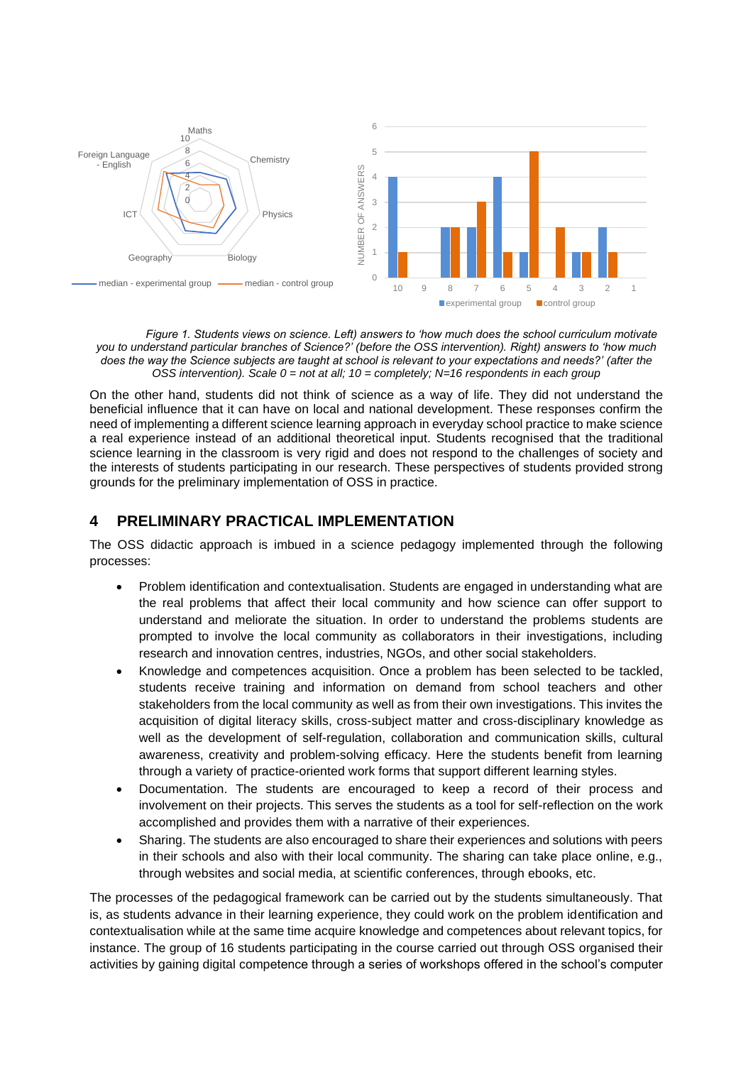

 *Figure 1. Students views on science. Left) answers to 'how much does the school curriculum motivate you to understand particular branches of Science?' (before the OSS intervention). Right) answers to 'how much does the way the Science subjects are taught at school is relevant to your expectations and needs?' (after the OSS intervention). Scale 0 = not at all; 10 = completely; N=16 respondents in each group* 

On the other hand, students did not think of science as a way of life. They did not understand the beneficial influence that it can have on local and national development. These responses confirm the need of implementing a different science learning approach in everyday school practice to make science a real experience instead of an additional theoretical input. Students recognised that the traditional science learning in the classroom is very rigid and does not respond to the challenges of society and the interests of students participating in our research. These perspectives of students provided strong grounds for the preliminary implementation of OSS in practice.

### **4 PRELIMINARY PRACTICAL IMPLEMENTATION**

The OSS didactic approach is imbued in a science pedagogy implemented through the following processes:

- Problem identification and contextualisation. Students are engaged in understanding what are the real problems that affect their local community and how science can offer support to understand and meliorate the situation. In order to understand the problems students are prompted to involve the local community as collaborators in their investigations, including research and innovation centres, industries, NGOs, and other social stakeholders.
- Knowledge and competences acquisition. Once a problem has been selected to be tackled, students receive training and information on demand from school teachers and other stakeholders from the local community as well as from their own investigations. This invites the acquisition of digital literacy skills, cross-subject matter and cross-disciplinary knowledge as well as the development of self-regulation, collaboration and communication skills, cultural awareness, creativity and problem-solving efficacy. Here the students benefit from learning through a variety of practice-oriented work forms that support different learning styles.
- Documentation. The students are encouraged to keep a record of their process and involvement on their projects. This serves the students as a tool for self-reflection on the work accomplished and provides them with a narrative of their experiences.
- Sharing. The students are also encouraged to share their experiences and solutions with peers in their schools and also with their local community. The sharing can take place online, e.g., through websites and social media, at scientific conferences, through ebooks, etc.

The processes of the pedagogical framework can be carried out by the students simultaneously. That is, as students advance in their learning experience, they could work on the problem identification and contextualisation while at the same time acquire knowledge and competences about relevant topics, for instance. The group of 16 students participating in the course carried out through OSS organised their activities by gaining digital competence through a series of workshops offered in the school's computer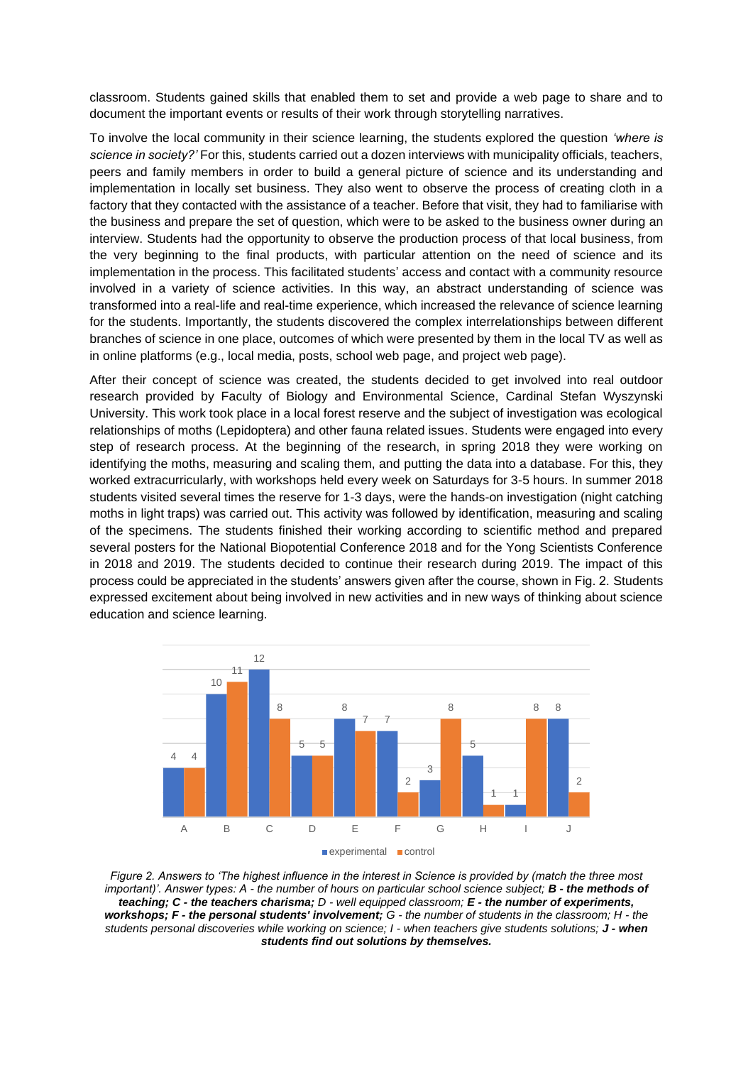classroom. Students gained skills that enabled them to set and provide a web page to share and to document the important events or results of their work through storytelling narratives.

To involve the local community in their science learning, the students explored the question *'where is science in society?'* For this, students carried out a dozen interviews with municipality officials, teachers, peers and family members in order to build a general picture of science and its understanding and implementation in locally set business. They also went to observe the process of creating cloth in a factory that they contacted with the assistance of a teacher. Before that visit, they had to familiarise with the business and prepare the set of question, which were to be asked to the business owner during an interview. Students had the opportunity to observe the production process of that local business, from the very beginning to the final products, with particular attention on the need of science and its implementation in the process. This facilitated students' access and contact with a community resource involved in a variety of science activities. In this way, an abstract understanding of science was transformed into a real-life and real-time experience, which increased the relevance of science learning for the students. Importantly, the students discovered the complex interrelationships between different branches of science in one place, outcomes of which were presented by them in the local TV as well as in online platforms (e.g., local media, posts, school web page, and project web page).

After their concept of science was created, the students decided to get involved into real outdoor research provided by Faculty of Biology and Environmental Science, Cardinal Stefan Wyszynski University. This work took place in a local forest reserve and the subject of investigation was ecological relationships of moths (Lepidoptera) and other fauna related issues. Students were engaged into every step of research process. At the beginning of the research, in spring 2018 they were working on identifying the moths, measuring and scaling them, and putting the data into a database. For this, they worked extracurricularly, with workshops held every week on Saturdays for 3-5 hours. In summer 2018 students visited several times the reserve for 1-3 days, were the hands-on investigation (night catching moths in light traps) was carried out. This activity was followed by identification, measuring and scaling of the specimens. The students finished their working according to scientific method and prepared several posters for the National Biopotential Conference 2018 and for the Yong Scientists Conference in 2018 and 2019. The students decided to continue their research during 2019. The impact of this process could be appreciated in the students' answers given after the course, shown in Fig. 2. Students expressed excitement about being involved in new activities and in new ways of thinking about science education and science learning.



*Figure 2. Answers to 'The highest influence in the interest in Science is provided by (match the three most important)'. Answer types: A - the number of hours on particular school science subject; B - the methods of teaching; C - the teachers charisma; D - well equipped classroom; E - the number of experiments, workshops; F - the personal students' involvement; G - the number of students in the classroom; H - the students personal discoveries while working on science; I - when teachers give students solutions; J - when students find out solutions by themselves.*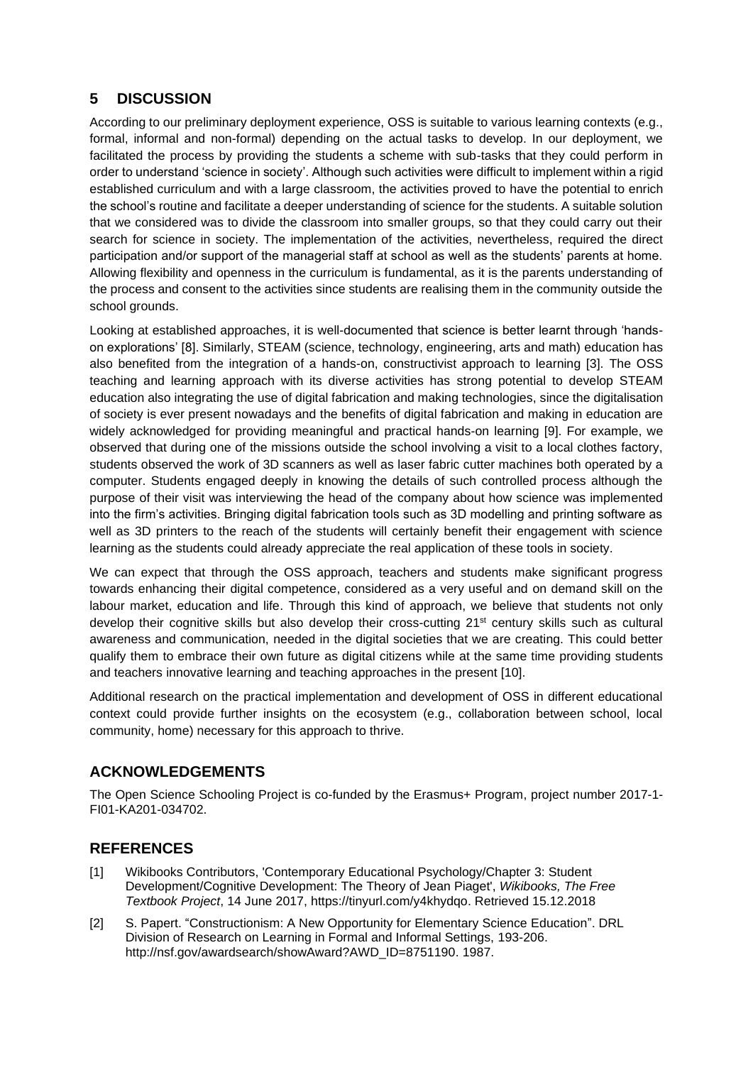### **5 DISCUSSION**

According to our preliminary deployment experience, OSS is suitable to various learning contexts (e.g., formal, informal and non-formal) depending on the actual tasks to develop. In our deployment, we facilitated the process by providing the students a scheme with sub-tasks that they could perform in order to understand 'science in society'. Although such activities were difficult to implement within a rigid established curriculum and with a large classroom, the activities proved to have the potential to enrich the school's routine and facilitate a deeper understanding of science for the students. A suitable solution that we considered was to divide the classroom into smaller groups, so that they could carry out their search for science in society. The implementation of the activities, nevertheless, required the direct participation and/or support of the managerial staff at school as well as the students' parents at home. Allowing flexibility and openness in the curriculum is fundamental, as it is the parents understanding of the process and consent to the activities since students are realising them in the community outside the school grounds.

Looking at established approaches, it is well-documented that science is better learnt through 'handson explorations' [8]. Similarly, STEAM (science, technology, engineering, arts and math) education has also benefited from the integration of a hands-on, constructivist approach to learning [3]. The OSS teaching and learning approach with its diverse activities has strong potential to develop STEAM education also integrating the use of digital fabrication and making technologies, since the digitalisation of society is ever present nowadays and the benefits of digital fabrication and making in education are widely acknowledged for providing meaningful and practical hands-on learning [9]. For example, we observed that during one of the missions outside the school involving a visit to a local clothes factory, students observed the work of 3D scanners as well as laser fabric cutter machines both operated by a computer. Students engaged deeply in knowing the details of such controlled process although the purpose of their visit was interviewing the head of the company about how science was implemented into the firm's activities. Bringing digital fabrication tools such as 3D modelling and printing software as well as 3D printers to the reach of the students will certainly benefit their engagement with science learning as the students could already appreciate the real application of these tools in society.

We can expect that through the OSS approach, teachers and students make significant progress towards enhancing their digital competence, considered as a very useful and on demand skill on the labour market, education and life. Through this kind of approach, we believe that students not only develop their cognitive skills but also develop their cross-cutting 21<sup>st</sup> century skills such as cultural awareness and communication, needed in the digital societies that we are creating. This could better qualify them to embrace their own future as digital citizens while at the same time providing students and teachers innovative learning and teaching approaches in the present [10].

Additional research on the practical implementation and development of OSS in different educational context could provide further insights on the ecosystem (e.g., collaboration between school, local community, home) necessary for this approach to thrive.

# **ACKNOWLEDGEMENTS**

The Open Science Schooling Project is co-funded by the Erasmus+ Program, project number 2017-1- FI01-KA201-034702.

# **REFERENCES**

- [1] Wikibooks Contributors, 'Contemporary Educational Psychology/Chapter 3: Student Development/Cognitive Development: The Theory of Jean Piaget', *Wikibooks, The Free Textbook Project*, 14 June 2017, [https://tinyurl.com/y4khydqo.](https://tinyurl.com/y4khydqo) Retrieved 15.12.2018
- [2] S. Papert. "Constructionism: A New Opportunity for Elementary Science Education". DRL Division of Research on Learning in Formal and Informal Settings, 193-206. [http://nsf.gov/awardsearch/showAward?AWD\\_ID=8751190.](http://nsf.gov/awardsearch/showAward?AWD_ID=8751190) 1987.